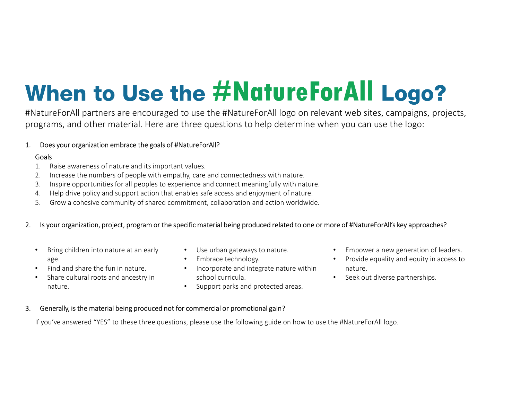# #NatureForAll **When to Use the**  $#$ **NatureForAll logo on r<br>
#NatureForAll partners are encouraged to use the #NatureForAll logo on r<br>
programs, and other material. Here are three questions to help determine<br>
1. Does your organization emb** Examples are encouraged to use the #NatureForAll logo on relevant web sites, campaigns, projects,<br>programs, and other material. Here are three questions to help determine when you can use the logo:<br>
1. Ocea your organizati When to Use the *#NatureForAll* partners are encouraged to use the *#NatureForAll* partners are encouraged to use the *#NatureForAll* partners, and other material. Here are three questions to he Does your organization embr **VHEN TO USE THE HATUTEFOTAL SERVICES THE NUMBER OF A SERVICE SUBSERVICTOR CONTROLLAT SUBSERVICTORS ON THE NUMBER OF A DEPARTMENT OF A DEPARTMENT OF A DEPARTMENT OF A DEPARTMENT OF A DEPARTMENT OF A DEPARTMENT OF A DEPARTM VICH SENT AND THE SENT AND THE SENT AND THE SENT AND THE SENT AND THE SURVEY OF A SURVEY SURVEY AND THE SURVEY AND THE SURVEY AND THE SURVEY OF A DEPTH OF A DEPTH OF A DEPTH OF A DEPTH OF A DEPTH OF A DEPTH OF A DEPTH OF** When too Use the #NatureForAll logo on relevant web<br>params, and other material. Here are three questions to help determine when you c:<br>Does your organization embrace the goals of #NatureForAl?<br>1. Raise awareness of nature Vhen to Use the *#NatureForAll bgo* on relevant web sites, campaigns, projects,<br>params, and other material. Here are three questions to help determine when you can use the logo:<br>Doesyour organization embrace the goals of M

#NatureForAll partners are encouraged to use the #NatureForAll logo on relevant web sites, campaigns, projects, programs, and other material. Here are three questions to help determine when you can use the logo:

### **Goals**

- 
- 
- 
- 
- 

- Bring children into nature at an early Use urban gateways to nature.<br>
 Find and share the fun in nature.<br>
 Share cultural roots and ancestry in **•** Share cultural roots and ancestry in **•** Support parks and protected age.
- Find and share the fun in nature.
- Share cultural roots and ancestry in nature.
- 
- 
- school curricula.
- 
- 
- Provide equality and equity in access to nature. • Use urban gateways to nature. • Empower a new generation of leaders.<br>• Embrace technology. • Provide equality and equity in access to<br>• Incorporate and integrate nature within school curricula. • Seek out diverse partner
	-

3. Density or the material being produced not for commercial or promotional gain?<br>
3. Inspire opposition in the material being and connectedness with nature.<br>
3. Inspire opportunities for all peoples to experience and conn If you've answered "YES" to these three questions, please use the following guide on how to use the #NatureForAll logo.